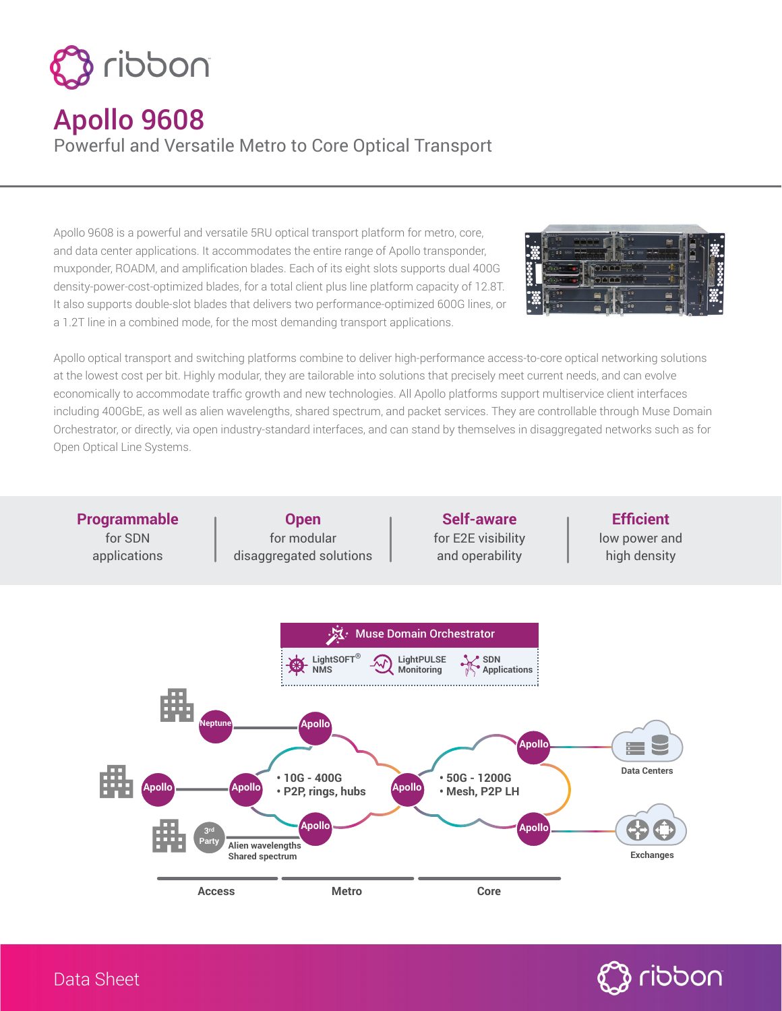

## Apollo 9608

Powerful and Versatile Metro to Core Optical Transport

Apollo 9608 is a powerful and versatile 5RU optical transport platform for metro, core, and data center applications. It accommodates the entire range of Apollo transponder, muxponder, ROADM, and amplification blades. Each of its eight slots supports dual 400G density-power-cost-optimized blades, for a total client plus line platform capacity of 12.8T. It also supports double-slot blades that delivers two performance-optimized 600G lines, or a 1.2T line in a combined mode, for the most demanding transport applications.



Apollo optical transport and switching platforms combine to deliver high-performance access-to-core optical networking solutions at the lowest cost per bit. Highly modular, they are tailorable into solutions that precisely meet current needs, and can evolve economically to accommodate traffic growth and new technologies. All Apollo platforms support multiservice client interfaces including 400GbE, as well as alien wavelengths, shared spectrum, and packet services. They are controllable through Muse Domain Orchestrator, or directly, via open industry-standard interfaces, and can stand by themselves in disaggregated networks such as for Open Optical Line Systems.